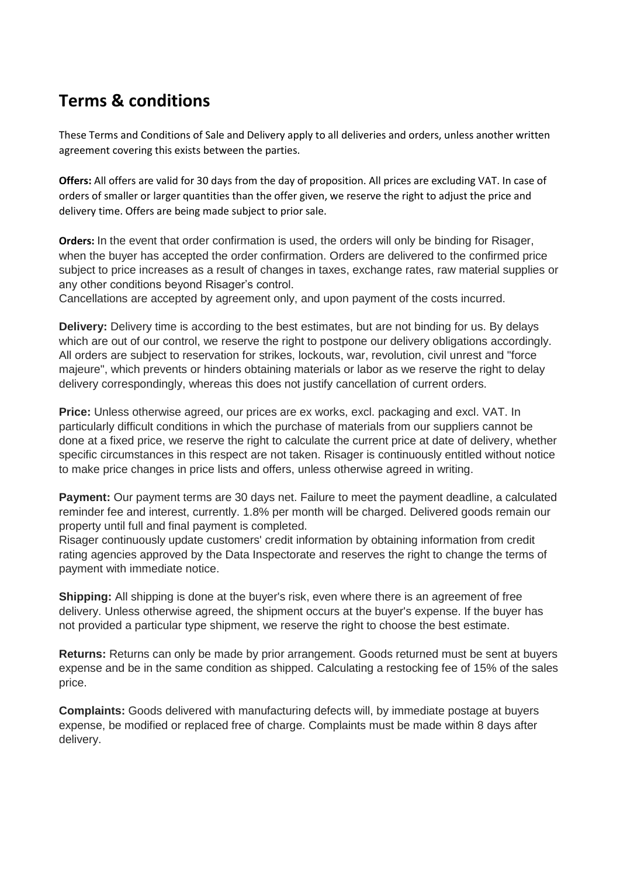## **Terms & conditions**

These Terms and Conditions of Sale and Delivery apply to all deliveries and orders, unless another written agreement covering this exists between the parties.

**Offers:** All offers are valid for 30 days from the day of proposition. All prices are excluding VAT. In case of orders of smaller or larger quantities than the offer given, we reserve the right to adjust the price and delivery time. Offers are being made subject to prior sale.

**Orders:** In the event that order confirmation is used, the orders will only be binding for Risager, when the buyer has accepted the order confirmation. Orders are delivered to the confirmed price subject to price increases as a result of changes in taxes, exchange rates, raw material supplies or any other conditions beyond Risager's control.

Cancellations are accepted by agreement only, and upon payment of the costs incurred.

**Delivery:** Delivery time is according to the best estimates, but are not binding for us. By delays which are out of our control, we reserve the right to postpone our delivery obligations accordingly. All orders are subject to reservation for strikes, lockouts, war, revolution, civil unrest and "force majeure", which prevents or hinders obtaining materials or labor as we reserve the right to delay delivery correspondingly, whereas this does not justify cancellation of current orders.

**Price:** Unless otherwise agreed, our prices are ex works, excl. packaging and excl. VAT. In particularly difficult conditions in which the purchase of materials from our suppliers cannot be done at a fixed price, we reserve the right to calculate the current price at date of delivery, whether specific circumstances in this respect are not taken. Risager is continuously entitled without notice to make price changes in price lists and offers, unless otherwise agreed in writing.

**Payment:** Our payment terms are 30 days net. Failure to meet the payment deadline, a calculated reminder fee and interest, currently. 1.8% per month will be charged. Delivered goods remain our property until full and final payment is completed.

Risager continuously update customers' credit information by obtaining information from credit rating agencies approved by the Data Inspectorate and reserves the right to change the terms of payment with immediate notice.

**Shipping:** All shipping is done at the buyer's risk, even where there is an agreement of free delivery. Unless otherwise agreed, the shipment occurs at the buyer's expense. If the buyer has not provided a particular type shipment, we reserve the right to choose the best estimate.

**Returns:** Returns can only be made by prior arrangement. Goods returned must be sent at buyers expense and be in the same condition as shipped. Calculating a restocking fee of 15% of the sales price.

**Complaints:** Goods delivered with manufacturing defects will, by immediate postage at buyers expense, be modified or replaced free of charge. Complaints must be made within 8 days after delivery.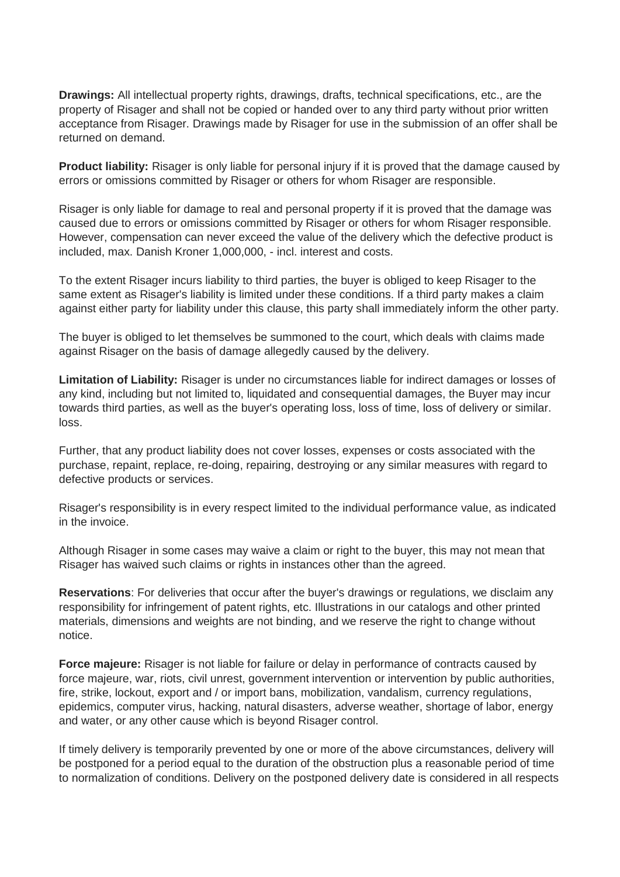**Drawings:** All intellectual property rights, drawings, drafts, technical specifications, etc., are the property of Risager and shall not be copied or handed over to any third party without prior written acceptance from Risager. Drawings made by Risager for use in the submission of an offer shall be returned on demand.

**Product liability:** Risager is only liable for personal injury if it is proved that the damage caused by errors or omissions committed by Risager or others for whom Risager are responsible.

Risager is only liable for damage to real and personal property if it is proved that the damage was caused due to errors or omissions committed by Risager or others for whom Risager responsible. However, compensation can never exceed the value of the delivery which the defective product is included, max. Danish Kroner 1,000,000, - incl. interest and costs.

To the extent Risager incurs liability to third parties, the buyer is obliged to keep Risager to the same extent as Risager's liability is limited under these conditions. If a third party makes a claim against either party for liability under this clause, this party shall immediately inform the other party.

The buyer is obliged to let themselves be summoned to the court, which deals with claims made against Risager on the basis of damage allegedly caused by the delivery.

**Limitation of Liability:** Risager is under no circumstances liable for indirect damages or losses of any kind, including but not limited to, liquidated and consequential damages, the Buyer may incur towards third parties, as well as the buyer's operating loss, loss of time, loss of delivery or similar. loss.

Further, that any product liability does not cover losses, expenses or costs associated with the purchase, repaint, replace, re-doing, repairing, destroying or any similar measures with regard to defective products or services.

Risager's responsibility is in every respect limited to the individual performance value, as indicated in the invoice.

Although Risager in some cases may waive a claim or right to the buyer, this may not mean that Risager has waived such claims or rights in instances other than the agreed.

**Reservations**: For deliveries that occur after the buyer's drawings or regulations, we disclaim any responsibility for infringement of patent rights, etc. Illustrations in our catalogs and other printed materials, dimensions and weights are not binding, and we reserve the right to change without notice.

**Force majeure:** Risager is not liable for failure or delay in performance of contracts caused by force majeure, war, riots, civil unrest, government intervention or intervention by public authorities, fire, strike, lockout, export and / or import bans, mobilization, vandalism, currency regulations, epidemics, computer virus, hacking, natural disasters, adverse weather, shortage of labor, energy and water, or any other cause which is beyond Risager control.

If timely delivery is temporarily prevented by one or more of the above circumstances, delivery will be postponed for a period equal to the duration of the obstruction plus a reasonable period of time to normalization of conditions. Delivery on the postponed delivery date is considered in all respects